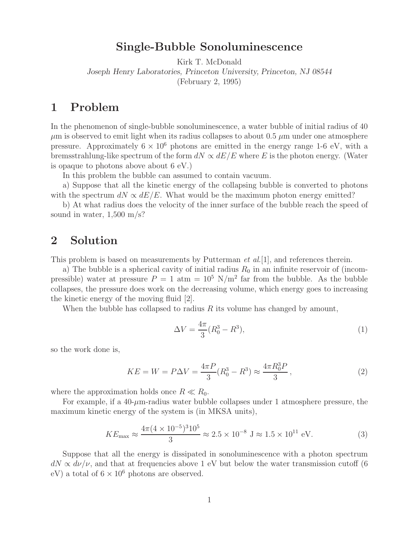**Single-Bubble Sonoluminescence** Kirk T. McDonald *Joseph Henry Laboratories, Princeton University, Princeton, NJ 08544* (February 2, 1995)

In the phenomenon of single-bubble sonoluminescence, a water bubble of initial radius of 40  $\mu$ m is observed to emit light when its radius collapses to about 0.5  $\mu$ m under one atmosphere pressure. Approximately  $6 \times 10^6$  photons are emitted in the energy range 1-6 eV, with a bremsstrahlung-like spectrum of the form  $dN \propto dE/E$  where E is the photon energy. (Water is opaque to photons above about 6 eV.)

In this problem the bubble can assumed to contain vacuum.

a) Suppose that all the kinetic energy of the collapsing bubble is converted to photons with the spectrum  $dN \propto dE/E$ . What would be the maximum photon energy emitted?

b) At what radius does the velocity of the inner surface of the bubble reach the speed of sound in water,  $1,500 \text{ m/s}$ ?

## $\overline{2}$ **2 Solution**

This problem is based on measurements by Putterman *et al.*[1], and references therein.

a) The bubble is a spherical cavity of initial radius  $R_0$  in an infinite reservoir of (incompressible) water at pressure  $P = 1$  atm  $= 10^5$  N/m<sup>2</sup> far from the bubble. As the bubble collapses, the pressure does work on the decreasing volume, which energy goes to increasing the kinetic energy of the moving fluid [2].

When the bubble has collapsed to radius  $R$  its volume has changed by amount,

$$
\Delta V = \frac{4\pi}{3} (R_0^3 - R^3),\tag{1}
$$

so the work done is,

$$
KE = W = P\Delta V = \frac{4\pi P}{3}(R_0^3 - R^3) \approx \frac{4\pi R_0^3 P}{3},\tag{2}
$$

where the approximation holds once  $R \ll R_0$ .

For example, if a  $40-\mu$ m-radius water bubble collapses under 1 atmosphere pressure, the maximum kinetic energy of the system is (in MKSA units),

$$
KE_{\text{max}} \approx \frac{4\pi (4 \times 10^{-5})^3 10^5}{3} \approx 2.5 \times 10^{-8} \text{ J} \approx 1.5 \times 10^{11} \text{ eV}.
$$
 (3)

Suppose that all the energy is dissipated in sonoluminescence with a photon spectrum  $dN \propto d\nu/\nu$ , and that at frequencies above 1 eV but below the water transmission cutoff (6) eV) a total of  $6 \times 10^6$  photons are observed.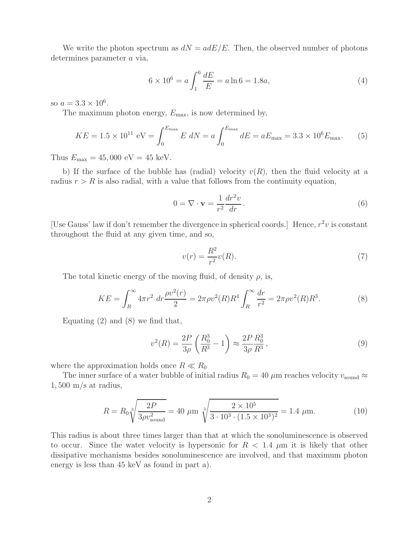We write the photon spectrum as  $dN = adE/E$ . Then, the observed number of photons determines parameter a via,

$$
6 \times 10^6 = a \int_1^6 \frac{dE}{E} = a \ln 6 = 1.8a,\tag{4}
$$

so  $a = 3.3 \times 10^6$ .

The maximum photon energy,  $E_{\text{max}}$ , is now determined by,

$$
KE = 1.5 \times 10^{11} \text{ eV} = \int_0^{E_{\text{max}}} E \ dN = a \int_0^{E_{\text{max}}} dE = aE_{\text{max}} = 3.3 \times 10^6 E_{\text{max}}.
$$
 (5)

Thus  $E_{\text{max}} = 45,000 \text{ eV} = 45 \text{ keV}.$ 

b) If the surface of the bubble has (radial) velocity  $v(R)$ , then the fluid velocity at a radius  $r>R$  is also radial, with a value that follows from the continuity equation,

$$
0 = \nabla \cdot \mathbf{v} = \frac{1}{r^2} \frac{dr^2 v}{dr}.
$$
\n
$$
(6)
$$

[Use Gauss' law if don't remember the divergence in spherical coords.] Hence,  $r^2v$  is constant throughout the fluid at any given time, and so,

$$
v(r) = \frac{R^2}{r^2}v(R). \tag{7}
$$

The total kinetic energy of the moving fluid, of density  $\rho$ , is,

$$
KE = \int_{R}^{\infty} 4\pi r^2 dr \frac{\rho v^2(r)}{2} = 2\pi \rho v^2(R) R^4 \int_{R}^{\infty} \frac{dr}{r^2} = 2\pi \rho v^2(R) R^3.
$$
 (8)

Equating  $(2)$  and  $(8)$  we find that,

$$
v^{2}(R) = \frac{2P}{3\rho} \left(\frac{R_0^3}{R^3} - 1\right) \approx \frac{2P}{3\rho} \frac{R_0^3}{R^3},\tag{9}
$$

where the approximation holds once  $R \ll R_0$ 

The inner surface of a water bubble of initial radius  $R_0 = 40 \mu$ m reaches velocity  $v_{\text{sound}} \approx$  $1,500 \text{ m/s at radius},$ 

$$
R = R_0 \sqrt[3]{\frac{2P}{3\rho v_{\text{sound}}^2}} = 40 \text{ } \mu \text{m } \sqrt[3]{\frac{2 \times 10^5}{3 \cdot 10^3 \cdot (1.5 \times 10^3)^2}} = 1.4 \text{ } \mu \text{m.}
$$
 (10)

This radius is about three times larger than that at which the sonoluminescence is observed to occur. Since the water velocity is hypersonic for  $R < 1.4 \mu m$  it is likely that other dissipative mechanisms besides sonoluminescence are involved, and that maximum photon energy is less than 45 keV as found in part a).